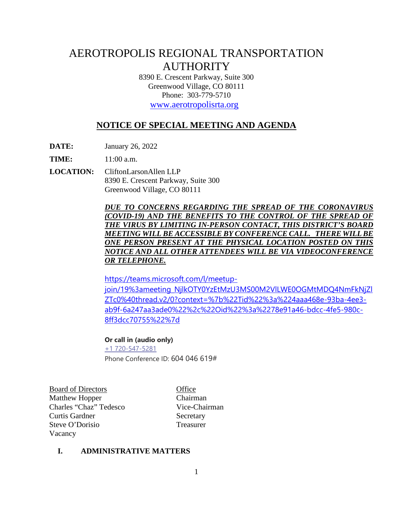# AEROTROPOLIS REGIONAL TRANSPORTATION **AUTHORITY**

8390 E. Crescent Parkway, Suite 300 Greenwood Village, CO 80111 Phone: 303-779-5710

[www.aerotropolisrta.org](http://www.aerotropolisrta.org/) 

# **NOTICE OF SPECIAL MEETING AND AGENDA**

**DATE:** January 26, 2022

**TIME:** 11:00 a.m.

**LOCATION:** CliftonLarsonAllen LLP 8390 E. Crescent Parkway, Suite 300 Greenwood Village, CO 80111

> *DUE TO CONCERNS REGARDING THE SPREAD OF THE CORONAVIRUS (COVID-19) AND THE BENEFITS TO THE CONTROL OF THE SPREAD OF THE VIRUS BY LIMITING IN-PERSON CONTACT, THIS DISTRICT'S BOARD MEETING WILL BE ACCESSIBLE BY CONFERENCE CALL. THERE WILLBE ONE PERSON PRESENT AT THE PHYSICAL LOCATION POSTED ON THIS NOTICE AND ALL OTHER ATTENDEES WILL BE VIA VIDEOCONFERENCE OR TELEPHONE.*

> [https://teams.microsoft.com/l/meetup](https://teams.microsoft.com/l/meetup-join/19%3ameeting_NjlkOTY0YzEtMzU3MS00M2VlLWE0OGMtMDQ4NmFkNjZlZTc0%40thread.v2/0?context=%7b%22Tid%22%3a%224aaa468e-93ba-4ee3-ab9f-6a247aa3ade0%22%2c%22Oid%22%3a%2278e91a46-bdcc-4fe5-980c-8ff3dcc70755%22%7d)[join/19%3ameeting\\_NjlkOTY0YzEtMzU3MS00M2VlLWE0OGMtMDQ4NmFkNjZl](https://teams.microsoft.com/l/meetup-join/19%3ameeting_NjlkOTY0YzEtMzU3MS00M2VlLWE0OGMtMDQ4NmFkNjZlZTc0%40thread.v2/0?context=%7b%22Tid%22%3a%224aaa468e-93ba-4ee3-ab9f-6a247aa3ade0%22%2c%22Oid%22%3a%2278e91a46-bdcc-4fe5-980c-8ff3dcc70755%22%7d) [ZTc0%40thread.v2/0?context=%7b%22Tid%22%3a%224aaa468e-93ba-4ee3](https://teams.microsoft.com/l/meetup-join/19%3ameeting_NjlkOTY0YzEtMzU3MS00M2VlLWE0OGMtMDQ4NmFkNjZlZTc0%40thread.v2/0?context=%7b%22Tid%22%3a%224aaa468e-93ba-4ee3-ab9f-6a247aa3ade0%22%2c%22Oid%22%3a%2278e91a46-bdcc-4fe5-980c-8ff3dcc70755%22%7d) [ab9f-6a247aa3ade0%22%2c%22Oid%22%3a%2278e91a46-bdcc-4fe5-980c-](https://teams.microsoft.com/l/meetup-join/19%3ameeting_NjlkOTY0YzEtMzU3MS00M2VlLWE0OGMtMDQ4NmFkNjZlZTc0%40thread.v2/0?context=%7b%22Tid%22%3a%224aaa468e-93ba-4ee3-ab9f-6a247aa3ade0%22%2c%22Oid%22%3a%2278e91a46-bdcc-4fe5-980c-8ff3dcc70755%22%7d)[8ff3dcc70755%22%7d](https://teams.microsoft.com/l/meetup-join/19%3ameeting_NjlkOTY0YzEtMzU3MS00M2VlLWE0OGMtMDQ4NmFkNjZlZTc0%40thread.v2/0?context=%7b%22Tid%22%3a%224aaa468e-93ba-4ee3-ab9f-6a247aa3ade0%22%2c%22Oid%22%3a%2278e91a46-bdcc-4fe5-980c-8ff3dcc70755%22%7d)

#### **Or call in (audio only)**

[+1 720-547-5281](tel:+17205475281,,604046619#%20) Phone Conference ID: 604 046 619#

Board of Directors Office Matthew Hopper Chairman Charles "Chaz" Tedesco Vice-Chairman Curtis Gardner Secretary Steve O'Dorisio Treasurer Vacancy

#### **I. ADMINISTRATIVE MATTERS**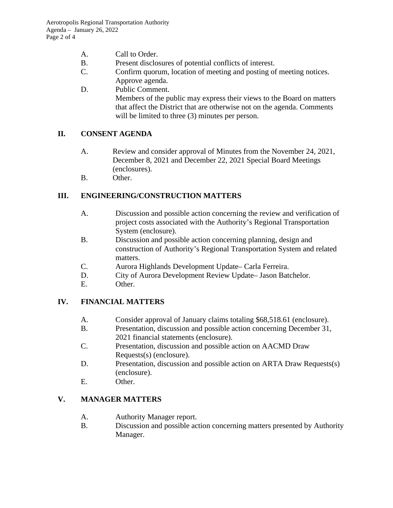- A. Call to Order.
- B. Present disclosures of potential conflicts of interest.
- C. Confirm quorum, location of meeting and posting of meeting notices. Approve agenda.
- D. Public Comment. Members of the public may express their views to the Board on matters that affect the District that are otherwise not on the agenda. Comments will be limited to three  $(3)$  minutes per person.

## **II. CONSENT AGENDA**

- A. Review and consider approval of Minutes from the November 24, 2021, December 8, 2021 and December 22, 2021 Special Board Meetings (enclosures).
- B. Other.

## **III. ENGINEERING/CONSTRUCTION MATTERS**

- A. Discussion and possible action concerning the review and verification of project costs associated with the Authority's Regional Transportation System (enclosure).
- B. Discussion and possible action concerning planning, design and construction of Authority's Regional Transportation System and related matters.
- C. Aurora Highlands Development Update– Carla Ferreira.
- D. City of Aurora Development Review Update– Jason Batchelor.
- E. Other.

## **IV. FINANCIAL MATTERS**

- A. Consider approval of January claims totaling \$68,518.61 (enclosure).
- B. Presentation, discussion and possible action concerning December 31, 2021 financial statements (enclosure).
- C. Presentation, discussion and possible action on AACMD Draw Requests(s) (enclosure).
- D. Presentation, discussion and possible action on ARTA Draw Requests(s) (enclosure).
- E. Other.

## **V. MANAGER MATTERS**

- A. Authority Manager report.
- B. Discussion and possible action concerning matters presented by Authority Manager.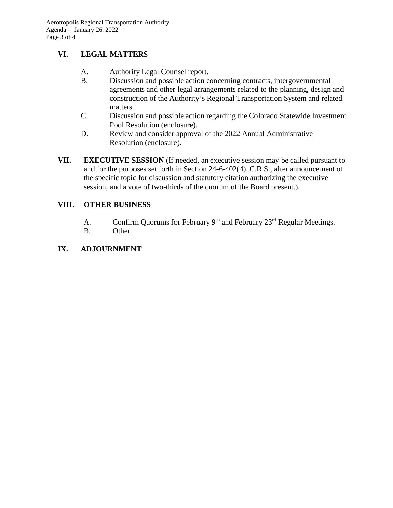# **VI. LEGAL MATTERS**

- A. Authority Legal Counsel report.
- B. Discussion and possible action concerning contracts, intergovernmental agreements and other legal arrangements related to the planning, design and construction of the Authority's Regional Transportation System and related matters.
- C. Discussion and possible action regarding the Colorado Statewide Investment Pool Resolution (enclosure).
- D. Review and consider approval of the 2022 Annual Administrative Resolution (enclosure).
- **VII. EXECUTIVE SESSION** (If needed, an executive session may be called pursuant to and for the purposes set forth in Section 24-6-402(4), C.R.S., after announcement of the specific topic for discussion and statutory citation authorizing the executive session, and a vote of two-thirds of the quorum of the Board present.).

## **VIII. OTHER BUSINESS**

- A. Confirm Quorums for February 9<sup>th</sup> and February 23<sup>rd</sup> Regular Meetings.
- B. Other.

## **IX. ADJOURNMENT**